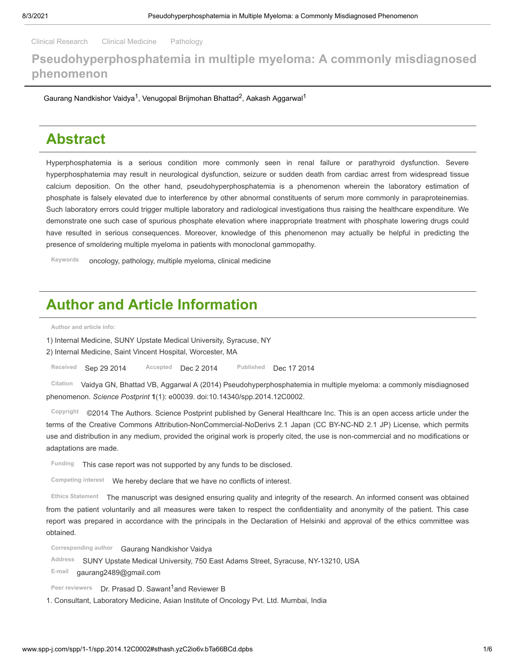Clinical Research Clinical Medicine Pathology

#### **Pseudohyperphosphatemia in multiple myeloma: A commonly misdiagnosed phenomenon**

Gaurang Nandkishor Vaidya<sup>1</sup>, Venugopal Brijmohan Bhattad<sup>2</sup>, Aakash Aggarwal<sup>1</sup>

## **Abstract**

Hyperphosphatemia is a serious condition more commonly seen in renal failure or parathyroid dysfunction. Severe hyperphosphatemia may result in neurological dysfunction, seizure or sudden death from cardiac arrest from widespread tissue calcium deposition. On the other hand, pseudohyperphosphatemia is a phenomenon wherein the laboratory estimation of phosphate is falsely elevated due to interference by other abnormal constituents of serum more commonly in paraproteinemias. Such laboratory errors could trigger multiple laboratory and radiological investigations thus raising the healthcare expenditure. We demonstrate one such case of spurious phosphate elevation where inappropriate treatment with phosphate lowering drugs could have resulted in serious consequences. Moreover, knowledge of this phenomenon may actually be helpful in predicting the presence of smoldering multiple myeloma in patients with monoclonal gammopathy.

**Keywords** oncology, pathology, multiple myeloma, clinical medicine

### **Author and Article Information**

**Author and article info:**

1) Internal Medicine, SUNY Upstate Medical University, Syracuse, NY

2) Internal Medicine, Saint Vincent Hospital, Worcester, MA

**Received** Sep 29 2014 **Accepted** Dec 2 2014 **Published** Dec 17 2014

**Citation** Vaidya GN, Bhattad VB, Aggarwal A (2014) Pseudohyperphosphatemia in multiple myeloma: a commonly misdiagnosed phenomenon. *Science Postprint* **1**(1): e00039. doi:10.14340/spp.2014.12C0002.

**Copyright** ©2014 The Authors. Science Postprint published by General Healthcare Inc. This is an open access article under the terms of the Creative Commons Attribution-NonCommercial-NoDerivs 2.1 Japan (CC BY-NC-ND 2.1 JP) License, which permits use and distribution in any medium, provided the original work is properly cited, the use is non-commercial and no modifications or adaptations are made.

**Funding** This case report was not supported by any funds to be disclosed.

**Competing interest** We hereby declare that we have no conflicts of interest.

**Ethics Statement** The manuscript was designed ensuring quality and integrity of the research. An informed consent was obtained from the patient voluntarily and all measures were taken to respect the confidentiality and anonymity of the patient. This case report was prepared in accordance with the principals in the Declaration of Helsinki and approval of the ethics committee was obtained.

**Corresponding author** Gaurang Nandkishor Vaidya

**Address** SUNY Upstate Medical University, 750 East Adams Street, Syracuse, NY-13210, USA

**E-mail** [gaurang2489@gmail.com](mailto:gaurang2489@gmail.com)

Peer reviewers **Dr. Prasad D. Sawant<sup>1</sup>and Reviewer B** 

1. Consultant, Laboratory Medicine, Asian Institute of Oncology Pvt. Ltd. Mumbai, India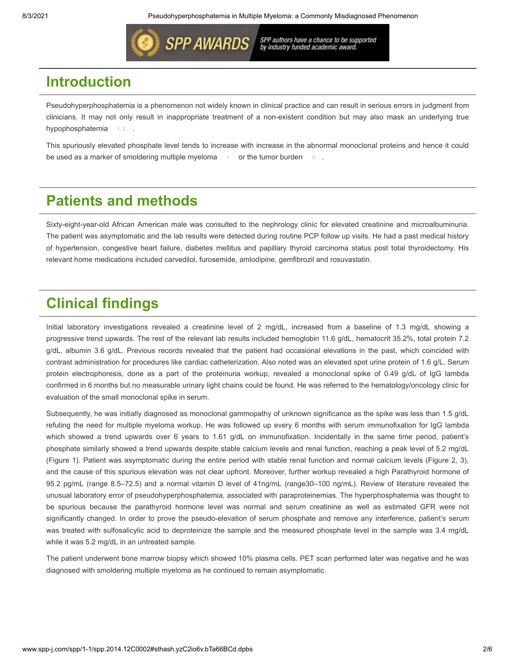

## **Introduction**

Pseudohyperphosphatemia is a phenomenon not widely known in clinical practice and can result in serious errors in judgment from clinicians. It may not only result in inappropriate treatment of a non-existent condition but may also mask an underlying true hypophosphatemia [1, 2](#page-4-0)

This spuriously elevated phosphate level tends to increase with increase in the abnormal monoclonal proteins and hence it could be used as a marker of smoldering multiple myeloma [1](#page-4-0) or the tumor burden [3](#page-4-1).

### **Patients and methods**

Sixty-eight-year-old African American male was consulted to the nephrology clinic for elevated creatinine and microalbuminuria. The patient was asymptomatic and the lab results were detected during routine PCP follow up visits. He had a past medical history of hypertension, congestive heart failure, diabetes mellitus and papillary thyroid carcinoma status post total thyroidectomy. His relevant home medications included carvedilol, furosemide, amlodipine, gemfibrozil and rosuvastatin.

# **Clinical findings**

Initial laboratory investigations revealed a creatinine level of 2 mg/dL, increased from a baseline of 1.3 mg/dL showing a progressive trend upwards. The rest of the relevant lab results included hemoglobin 11.6 g/dL, hematocrit 35.2%, total protein 7.2 g/dL, albumin 3.6 g/dL. Previous records revealed that the patient had occasional elevations in the past, which coincided with contrast administration for procedures like cardiac catheterization. Also noted was an elevated spot urine protein of 1.6 g/L. Serum protein electrophoresis, done as a part of the proteinuria workup, revealed a monoclonal spike of 0.49 g/dL of IgG lambda confirmed in 6 months but no measurable urinary light chains could be found. He was referred to the hematology/oncology clinic for evaluation of the small monoclonal spike in serum.

Subsequently, he was initially diagnosed as monoclonal gammopathy of unknown significance as the spike was less than 1.5 g/dL refuting the need for multiple myeloma workup. He was followed up every 6 months with serum immunofixation for IgG lambda which showed a trend upwards over 6 years to 1.61 g/dL on immunofixation. Incidentally in the same time period, patient's phosphate similarly showed a trend upwards despite stable calcium levels and renal function, reaching a peak level of 5.2 mg/dL (Figure 1). Patient was asymptomatic during the entire period with stable renal function and normal calcium levels (Figure 2, 3), and the cause of this spurious elevation was not clear upfront. Moreover, further workup revealed a high Parathyroid hormone of 95.2 pg/mL (range 8.5–72.5) and a normal vitamin D level of 41ng/mL (range30–100 ng/mL). Review of literature revealed the unusual laboratory error of pseudohyperphosphatemia, associated with paraproteinemias. The hyperphosphatemia was thought to be spurious because the parathyroid hormone level was normal and serum creatinine as well as estimated GFR were not significantly changed. In order to prove the pseudo-elevation of serum phosphate and remove any interference, patient's serum was treated with sulfosalicylic acid to deproteinize the sample and the measured phosphate level in the sample was 3.4 mg/dL while it was 5.2 mg/dL in an untreated sample.

The patient underwent bone marrow biopsy which showed 10% plasma cells. PET scan performed later was negative and he was diagnosed with smoldering multiple myeloma as he continued to remain asymptomatic.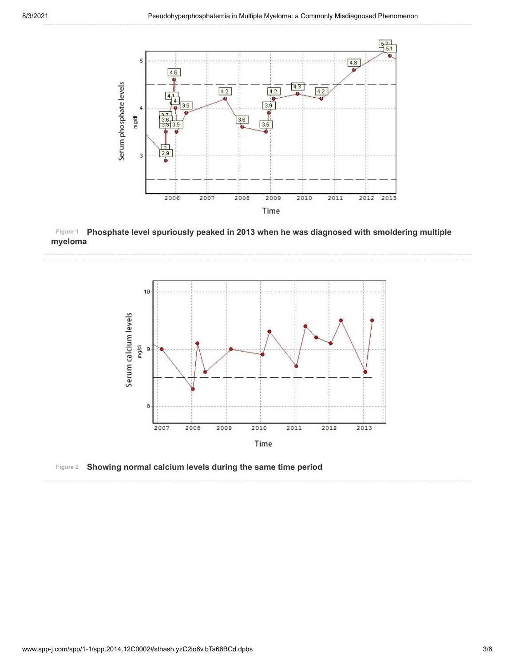

**Figure 1 Phosphate level spuriously peaked in 2013 when he was diagnosed with smoldering multiple myeloma**





**Figure 2 Showing normal calcium levels during the same time period**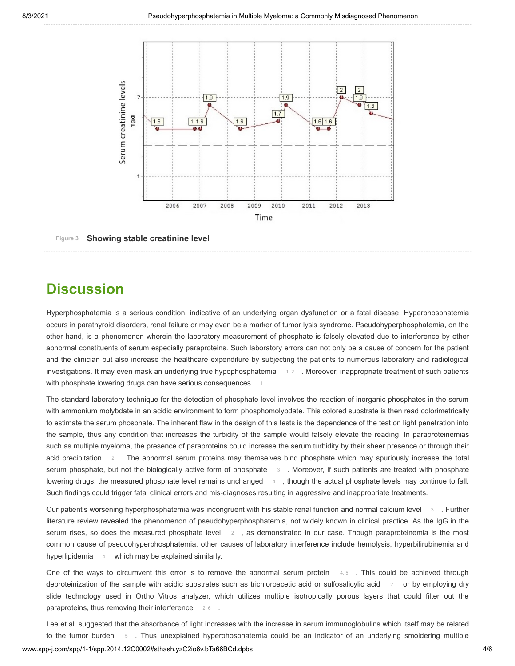

**Figure 3 Showing stable creatinine level**

### **Discussion**

Hyperphosphatemia is a serious condition, indicative of an underlying organ dysfunction or a fatal disease. Hyperphosphatemia occurs in parathyroid disorders, renal failure or may even be a marker of tumor lysis syndrome. Pseudohyperphosphatemia, on the other hand, is a phenomenon wherein the laboratory measurement of phosphate is falsely elevated due to interference by other abnormal constituents of serum especially paraproteins. Such laboratory errors can not only be a cause of concern for the patient and the clinician but also increase the healthcare expenditure by subjecting the patients to numerous laboratory and radiological investigations. It may even mask an underlying true hypophosphatemia  $1, 2$ . Moreover, inappropriate treatment of such patients with phosphate lowering drugs can have serious consequences

The standard laboratory technique for the detection of phosphate level involves the reaction of inorganic phosphates in the serum with ammonium molybdate in an acidic environment to form phosphomolybdate. This colored substrate is then read colorimetrically to estimate the serum phosphate. The inherent flaw in the design of this tests is the dependence of the test on light penetration into the sample, thus any condition that increases the turbidity of the sample would falsely elevate the reading. In paraproteinemias such as multiple myeloma, the presence of paraproteins could increase the serum turbidity by their sheer presence or through their acid precipitation [2](#page-4-2). The abnormal serum proteins may themselves bind phosphate which may spuriously increase the total serum phosphate, but not the biologically active form of phosphate [3](#page-4-1) . Moreover, if such patients are treated with phosphate lowering drugs, the measured phosphate level remains unchanged [4](#page-4-3) , though the actual phosphate levels may continue to fall. Such findings could trigger fatal clinical errors and mis-diagnoses resulting in aggressive and inappropriate treatments.

Our patient's worsening hyperphosphatemia was incongruent with his stable renal function and normal calcium level [3](#page-4-1). Further literature review revealed the phenomenon of pseudohyperphosphatemia, not widely known in clinical practice. As the IgG in the serum rises, so does the measured phosphate level [2](#page-4-2), as demonstrated in our case. Though paraproteinemia is the most common cause of pseudohyperphosphatemia, other causes of laboratory interference include hemolysis, hyperbilirubinemia and hyperlipidemia  $4$  which may be explained similarly.

One of the ways to circumvent this error is to remove the abnormal serum protein  $4, 5$ . This could be achieved through deproteinization of the sample with acidic substrates such as trichloroacetic acid or sulfosalicylic acid [2](#page-4-2) or by employing dry slide technology used in Ortho Vitros analyzer, which utilizes multiple isotropically porous layers that could filter out the paraproteins, thus removing their interference 2,6.

www.spp-j.com/spp/1-1/spp.2014.12C0002#sthash.yzC2io6v.bTa66BCd.dpbs 4/6 Lee et al. suggested that the absorbance of light increases with the increase in serum immunoglobulins which itself may be related to the tumor burden [5](#page-4-4). Thus unexplained hyperphosphatemia could be an indicator of an underlying smoldering multiple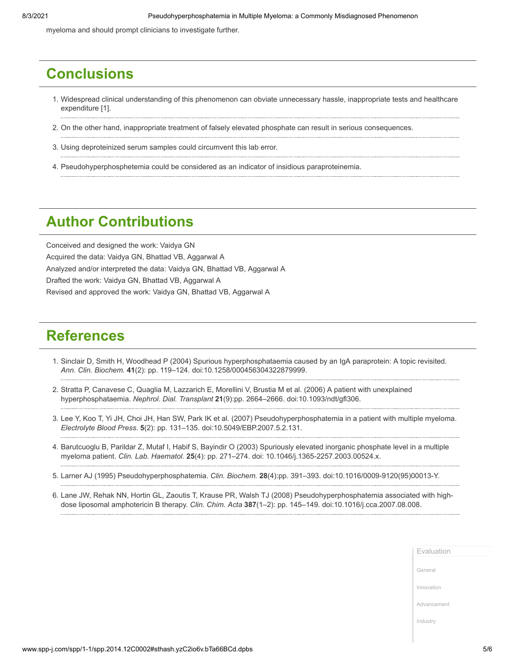myeloma and should prompt clinicians to investigate further.

### **Conclusions**

- 1. Widespread clinical understanding of this phenomenon can obviate unnecessary hassle, inappropriate tests and healthcare expenditure [1].
- 2. On the other hand, inappropriate treatment of falsely elevated phosphate can result in serious consequences.

- 3. Using deproteinized serum samples could circumvent this lab error.
- 4. Pseudohyperphosphetemia could be considered as an indicator of insidious paraproteinemia.

## **Author Contributions**

Conceived and designed the work: Vaidya GN Acquired the data: Vaidya GN, Bhattad VB, Aggarwal A Analyzed and/or interpreted the data: Vaidya GN, Bhattad VB, Aggarwal A Drafted the work: Vaidya GN, Bhattad VB, Aggarwal A Revised and approved the work: Vaidya GN, Bhattad VB, Aggarwal A

## **References**

- <span id="page-4-0"></span>1. Sinclair D, Smith H, Woodhead P (2004) Spurious hyperphosphataemia caused by an IgA paraprotein: A topic revisited. *Ann. Clin. Biochem.* **41**(2): pp. 119–124. doi:10.1258/000456304322879999.
- 2. Stratta P, Canavese C, Quaglia M, Lazzarich E, Morellini V, Brustia M et al. (2006) A patient with unexplained hyperphosphataemia. *Nephrol. Dial. Transplant* **21**(9):pp. 2664–2666. doi:10.1093/ndt/gfl306.

<span id="page-4-2"></span>

- <span id="page-4-1"></span>3. Lee Y, Koo T, Yi JH, Choi JH, Han SW, Park IK et al. (2007) Pseudohyperphosphatemia in a patient with multiple myeloma. *Electrolyte Blood Press.* **5**(2): pp. 131–135. doi:10.5049/EBP.2007.5.2.131.
- <span id="page-4-3"></span>4. Barutcuoglu B, Parildar Z, Mutaf I, Habif S, Bayindir O (2003) Spuriously elevated inorganic phosphate level in a multiple myeloma patient. *Clin. Lab. Haematol.* **25**(4): pp. 271–274. doi: 10.1046/j.1365-2257.2003.00524.x.
- <span id="page-4-4"></span>5. Larner AJ (1995) Pseudohyperphosphatemia. *Clin. Biochem.* **28**(4):pp. 391–393. doi:10.1016/0009-9120(95)00013-Y.

6. Lane JW, Rehak NN, Hortin GL, Zaoutis T, Krause PR, Walsh TJ (2008) Pseudohyperphosphatemia associated with highdose liposomal amphotericin B therapy. *Clin. Chim. Acta* **387**(1–2): pp. 145–149. doi:10.1016/j.cca.2007.08.008. 

| Evaluation  |
|-------------|
|             |
| General     |
|             |
| Innovation  |
| Advancement |
|             |
| Industry    |
|             |
|             |